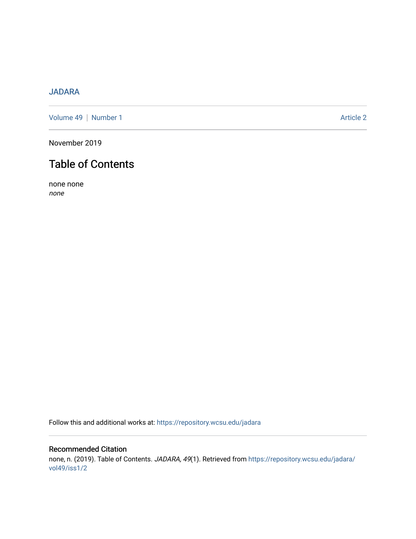## [JADARA](https://repository.wcsu.edu/jadara)

[Volume 49](https://repository.wcsu.edu/jadara/vol49) | [Number 1](https://repository.wcsu.edu/jadara/vol49/iss1) Article 2

November 2019

# Table of Contents

none none none

Follow this and additional works at: [https://repository.wcsu.edu/jadara](https://repository.wcsu.edu/jadara?utm_source=repository.wcsu.edu%2Fjadara%2Fvol49%2Fiss1%2F2&utm_medium=PDF&utm_campaign=PDFCoverPages)

## Recommended Citation none, n. (2019). Table of Contents. JADARA, 49(1). Retrieved from [https://repository.wcsu.edu/jadara/](https://repository.wcsu.edu/jadara/vol49/iss1/2?utm_source=repository.wcsu.edu%2Fjadara%2Fvol49%2Fiss1%2F2&utm_medium=PDF&utm_campaign=PDFCoverPages) [vol49/iss1/2](https://repository.wcsu.edu/jadara/vol49/iss1/2?utm_source=repository.wcsu.edu%2Fjadara%2Fvol49%2Fiss1%2F2&utm_medium=PDF&utm_campaign=PDFCoverPages)